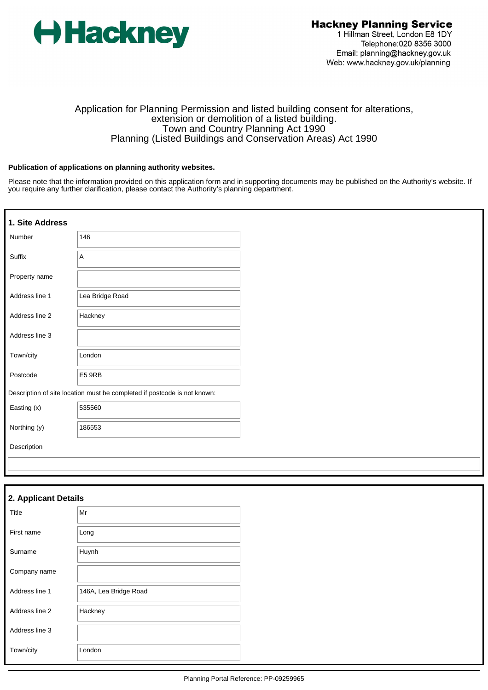

# Application for Planning Permission and listed building consent for alterations, extension or demolition of a listed building. Town and Country Planning Act 1990 Planning (Listed Buildings and Conservation Areas) Act 1990

#### **Publication of applications on planning authority websites.**

Please note that the information provided on this application form and in supporting documents may be published on the Authority's website. If you require any further clarification, please contact the Authority's planning department.

| 1. Site Address |                                                                          |
|-----------------|--------------------------------------------------------------------------|
| Number          | 146                                                                      |
| Suffix          | A                                                                        |
| Property name   |                                                                          |
| Address line 1  | Lea Bridge Road                                                          |
| Address line 2  | Hackney                                                                  |
| Address line 3  |                                                                          |
| Town/city       | London                                                                   |
| Postcode        | E5 9RB                                                                   |
|                 | Description of site location must be completed if postcode is not known: |
| Easting (x)     | 535560                                                                   |
| Northing (y)    | 186553                                                                   |
| Description     |                                                                          |
|                 |                                                                          |
|                 |                                                                          |

| 2. Applicant Details |                       |
|----------------------|-----------------------|
| Title                | Mr                    |
| First name           | Long                  |
| Surname              | Huynh                 |
| Company name         |                       |
| Address line 1       | 146A, Lea Bridge Road |
| Address line 2       | Hackney               |
| Address line 3       |                       |
| Town/city            | London                |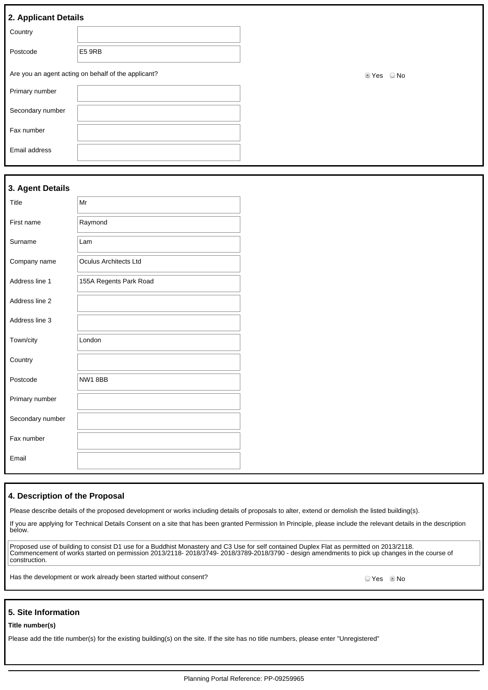| 2. Applicant Details |                                                     |                        |
|----------------------|-----------------------------------------------------|------------------------|
| Country              |                                                     |                        |
| Postcode             | E5 9RB                                              |                        |
|                      | Are you an agent acting on behalf of the applicant? | $\bigcirc$ No<br>t Yes |
| Primary number       |                                                     |                        |
| Secondary number     |                                                     |                        |
| Fax number           |                                                     |                        |
| Email address        |                                                     |                        |

# **3. Agent Details**

| Title            | Mr                           |
|------------------|------------------------------|
| First name       | Raymond                      |
| Surname          | Lam                          |
| Company name     | <b>Oculus Architects Ltd</b> |
| Address line 1   | 155A Regents Park Road       |
| Address line 2   |                              |
| Address line 3   |                              |
| Town/city        | London                       |
| Country          |                              |
| Postcode         | NW18BB                       |
| Primary number   |                              |
| Secondary number |                              |
| Fax number       |                              |
| Email            |                              |

#### **4. Description of the Proposal**

Please describe details of the proposed development or works including details of proposals to alter, extend or demolish the listed building(s).

If you are applying for Technical Details Consent on a site that has been granted Permission In Principle, please include the relevant details in the description below.

Proposed use of building to consist D1 use for a Buddhist Monastery and C3 Use for self contained Duplex Flat as permitted on 2013/2118. Commencement of works started on permission 2013/2118- 2018/3749- 2018/3789-2018/3790 - design amendments to pick up changes in the course of construction.

Has the development or work already been started without consent?<br>
O Yes No

#### **5. Site Information**

#### **Title number(s)**

Please add the title number(s) for the existing building(s) on the site. If the site has no title numbers, please enter "Unregistered"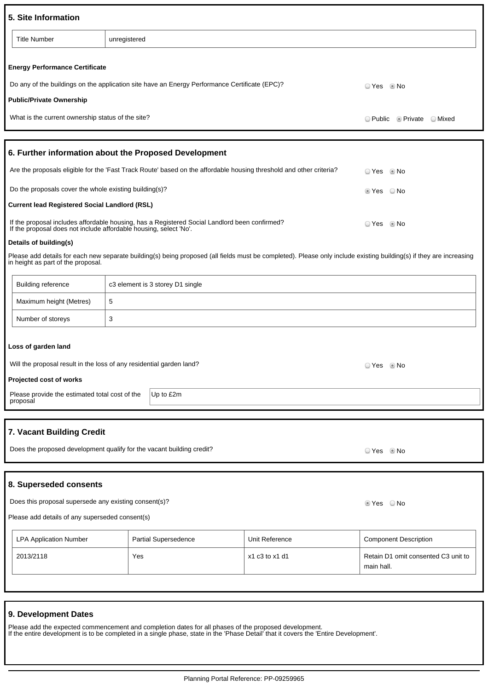| 5. Site Information                                                                                     |                                                                                                                     |                |                                                                                                                                                                     |  |
|---------------------------------------------------------------------------------------------------------|---------------------------------------------------------------------------------------------------------------------|----------------|---------------------------------------------------------------------------------------------------------------------------------------------------------------------|--|
| <b>Title Number</b>                                                                                     | unregistered                                                                                                        |                |                                                                                                                                                                     |  |
| <b>Energy Performance Certificate</b>                                                                   |                                                                                                                     |                |                                                                                                                                                                     |  |
|                                                                                                         | Do any of the buildings on the application site have an Energy Performance Certificate (EPC)?                       |                | ○ Yes ◎ No                                                                                                                                                          |  |
| <b>Public/Private Ownership</b>                                                                         |                                                                                                                     |                |                                                                                                                                                                     |  |
| What is the current ownership status of the site?                                                       |                                                                                                                     |                | $\circ$ Public $\circ$ Private $\circ$ Mixed                                                                                                                        |  |
|                                                                                                         | 6. Further information about the Proposed Development                                                               |                |                                                                                                                                                                     |  |
|                                                                                                         | Are the proposals eligible for the 'Fast Track Route' based on the affordable housing threshold and other criteria? |                | ⊙ Yes © No                                                                                                                                                          |  |
| Do the proposals cover the whole existing building(s)?                                                  |                                                                                                                     |                | ■ Yes © No                                                                                                                                                          |  |
| <b>Current lead Registered Social Landlord (RSL)</b>                                                    |                                                                                                                     |                |                                                                                                                                                                     |  |
| If the proposal does not include affordable housing, select 'No'.                                       | If the proposal includes affordable housing, has a Registered Social Landlord been confirmed?                       |                | ○ Yes ◎ No                                                                                                                                                          |  |
| Details of building(s)                                                                                  |                                                                                                                     |                |                                                                                                                                                                     |  |
| in height as part of the proposal.                                                                      |                                                                                                                     |                | Please add details for each new separate building(s) being proposed (all fields must be completed). Please only include existing building(s) if they are increasing |  |
| <b>Building reference</b>                                                                               | c3 element is 3 storey D1 single                                                                                    |                |                                                                                                                                                                     |  |
| Maximum height (Metres)                                                                                 | 5                                                                                                                   |                |                                                                                                                                                                     |  |
| Number of storeys                                                                                       | 3                                                                                                                   |                |                                                                                                                                                                     |  |
| Loss of garden land                                                                                     |                                                                                                                     |                |                                                                                                                                                                     |  |
| Will the proposal result in the loss of any residential garden land?                                    |                                                                                                                     |                | ⊙ Yes © No                                                                                                                                                          |  |
| Projected cost of works                                                                                 |                                                                                                                     |                |                                                                                                                                                                     |  |
| Please provide the estimated total cost of the                                                          | Up to £2m                                                                                                           |                |                                                                                                                                                                     |  |
| proposal                                                                                                |                                                                                                                     |                |                                                                                                                                                                     |  |
| 7. Vacant Building Credit                                                                               |                                                                                                                     |                |                                                                                                                                                                     |  |
|                                                                                                         | Does the proposed development qualify for the vacant building credit?                                               |                | ⊙Yes ®No                                                                                                                                                            |  |
|                                                                                                         |                                                                                                                     |                |                                                                                                                                                                     |  |
| 8. Superseded consents                                                                                  |                                                                                                                     |                |                                                                                                                                                                     |  |
| Does this proposal supersede any existing consent(s)?<br>■ Yes ■ No                                     |                                                                                                                     |                |                                                                                                                                                                     |  |
| Please add details of any superseded consent(s)                                                         |                                                                                                                     |                |                                                                                                                                                                     |  |
| <b>LPA Application Number</b><br>Partial Supersedence<br>Unit Reference<br><b>Component Description</b> |                                                                                                                     |                |                                                                                                                                                                     |  |
| 2013/2118                                                                                               | Yes                                                                                                                 | x1 c3 to x1 d1 | Retain D1 omit consented C3 unit to<br>main hall.                                                                                                                   |  |
|                                                                                                         |                                                                                                                     |                |                                                                                                                                                                     |  |

# **9. Development Dates**

Please add the expected commencement and completion dates for all phases of the proposed development. If the entire development is to be completed in a single phase, state in the 'Phase Detail' that it covers the 'Entire Development'.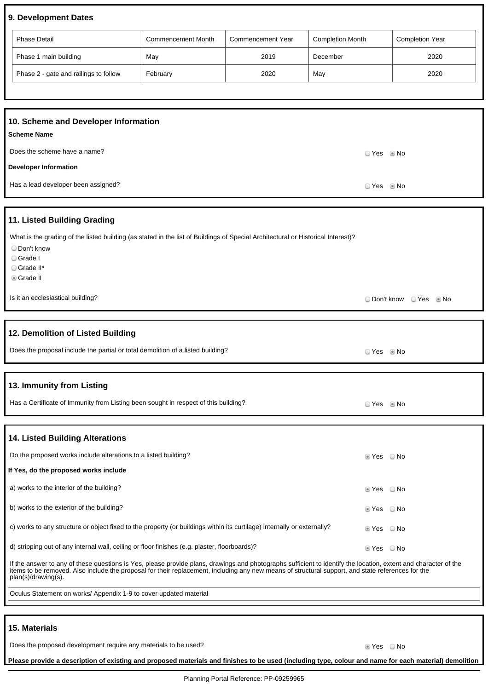# **9. Development Dates**

| <b>Phase Detail</b>                   | <b>Commencement Month</b> | Commencement Year | <b>Completion Month</b> | <b>Completion Year</b> |
|---------------------------------------|---------------------------|-------------------|-------------------------|------------------------|
| Phase 1 main building                 | May                       | 2019              | December                | 2020                   |
| Phase 2 - gate and railings to follow | February                  | 2020              | May                     | 2020                   |

| 10. Scheme and Developer Information<br><b>Scheme Name</b> |                      |  |
|------------------------------------------------------------|----------------------|--|
| Does the scheme have a name?                               | ○ Yes ◎ No           |  |
| <b>Developer Information</b>                               |                      |  |
| Has a lead developer been assigned?                        | ⊙ Yes             No |  |

#### **11. Listed Building Grading**

|  | What is the grading of the listed building (as stated in the list of Buildings of Special Architectural or Historical Interest)? |  |
|--|----------------------------------------------------------------------------------------------------------------------------------|--|
|  |                                                                                                                                  |  |

- Don't know
- Grade I
- Grade II\*
- Grade II

### **12. Demolition of Listed Building**

| Does the proposal include the partial or total demolition of a listed building? | ⊇Yes . ⊚No |  |
|---------------------------------------------------------------------------------|------------|--|
|                                                                                 |            |  |

#### **13. Immunity from Listing**

| Has a Certificate of Immunity from Listing been sought in respect of this building? | ⊃ Yes     ® No |  |
|-------------------------------------------------------------------------------------|----------------|--|
|-------------------------------------------------------------------------------------|----------------|--|

#### **14. Listed Building Alterations**

| Do the proposed works include alterations to a listed building?                                                         | $\circ$ Yes $\circ$ No                                       |  |
|-------------------------------------------------------------------------------------------------------------------------|--------------------------------------------------------------|--|
| If Yes, do the proposed works include                                                                                   |                                                              |  |
| a) works to the interior of the building?                                                                               | $\textcolor{red}{\bullet}$ Yes $\textcolor{red}{\bullet}$ No |  |
| b) works to the exterior of the building?                                                                               | $\circ$ Yes $\circ$ No                                       |  |
| c) works to any structure or object fixed to the property (or buildings within its curtilage) internally or externally? | $\odot$ Yes $\odot$ No                                       |  |
| d) stripping out of any internal wall, ceiling or floor finishes (e.g. plaster, floorboards)?                           | $\odot$ Yes $\odot$ No                                       |  |

If the answer to any of these questions is Yes, please provide plans, drawings and photographs sufficient to identify the location, extent and character of the items to be removed. Also include the proposal for their replacement, including any new means of structural support, and state references for the plan(s)/drawing(s).

Oculus Statement on works/ Appendix 1-9 to cover updated material

#### **15. Materials**

Does the proposed development require any materials to be used? Does No No No Yes No No

O Don't know O Yes O No

**Please provide a description of existing and proposed materials and finishes to be used (including type, colour and name for each material) demolition**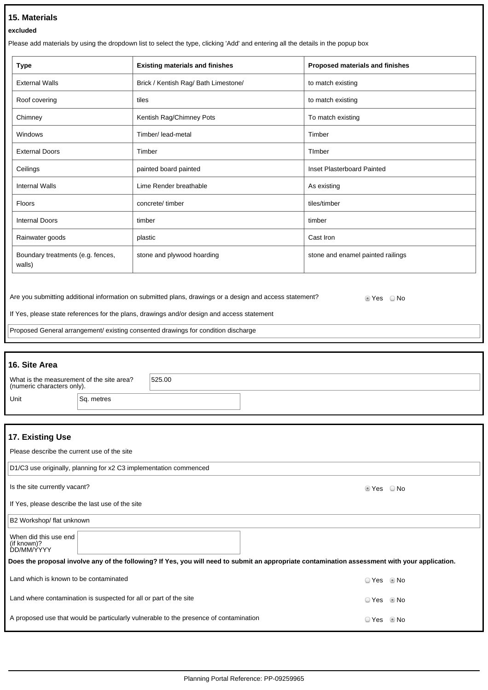# **15. Materials**

#### **excluded**

Please add materials by using the dropdown list to select the type, clicking 'Add' and entering all the details in the popup box

| <b>Type</b>                                 | <b>Existing materials and finishes</b> | Proposed materials and finishes   |
|---------------------------------------------|----------------------------------------|-----------------------------------|
| <b>External Walls</b>                       | Brick / Kentish Rag/ Bath Limestone/   | to match existing                 |
| Roof covering                               | tiles                                  | to match existing                 |
| Chimney                                     | Kentish Rag/Chimney Pots               | To match existing                 |
| Windows                                     | Timber/ lead-metal                     | Timber                            |
| <b>External Doors</b>                       | Timber                                 | Timber                            |
| Ceilings                                    | painted board painted                  | Inset Plasterboard Painted        |
| <b>Internal Walls</b>                       | Lime Render breathable                 | As existing                       |
| <b>Floors</b>                               | concrete/timber                        | tiles/timber                      |
| <b>Internal Doors</b>                       | timber                                 | timber                            |
| Rainwater goods                             | plastic                                | Cast Iron                         |
| Boundary treatments (e.g. fences,<br>walls) | stone and plywood hoarding             | stone and enamel painted railings |

Are you submitting additional information on submitted plans, drawings or a design and access statement? <br>
Set Set S

If Yes, please state references for the plans, drawings and/or design and access statement

Proposed General arrangement/ existing consented drawings for condition discharge

# **16. Site Area** What is the measurement of the site area? (numeric characters only). 525.00 Unit Sq. metres

| 17. Existing Use                                                                                                                               |            |      |  |  |
|------------------------------------------------------------------------------------------------------------------------------------------------|------------|------|--|--|
| Please describe the current use of the site                                                                                                    |            |      |  |  |
| D1/C3 use originally, planning for x2 C3 implementation commenced                                                                              |            |      |  |  |
| Is the site currently vacant?                                                                                                                  | ■ Yes © No |      |  |  |
| If Yes, please describe the last use of the site                                                                                               |            |      |  |  |
| B2 Workshop/ flat unknown                                                                                                                      |            |      |  |  |
| When did this use end<br>(if known)?<br>DD/MM/YYYY                                                                                             |            |      |  |  |
| Does the proposal involve any of the following? If Yes, you will need to submit an appropriate contamination assessment with your application. |            |      |  |  |
| Land which is known to be contaminated                                                                                                         | ○ Yes ◎ No |      |  |  |
| Land where contamination is suspected for all or part of the site                                                                              | © Yes      | © No |  |  |
| A proposed use that would be particularly vulnerable to the presence of contamination                                                          | ○ Yes      | © No |  |  |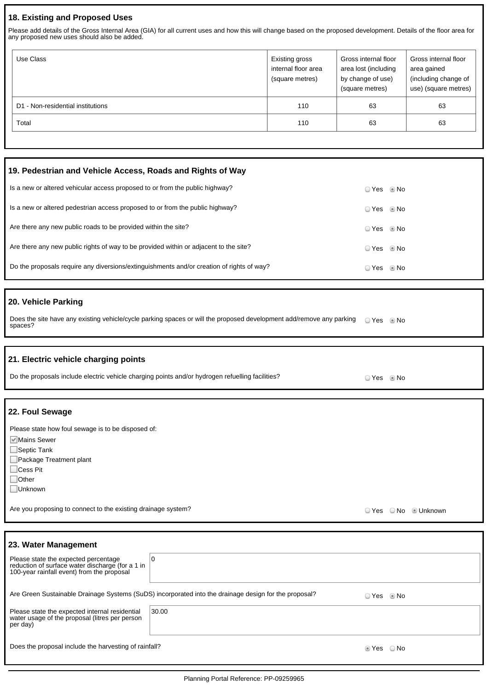# **18. Existing and Proposed Uses**

Please add details of the Gross Internal Area (GIA) for all current uses and how this will change based on the proposed development. Details of the floor area for any proposed new uses should also be added.

| Use Class                         | Existing gross<br>internal floor area<br>(square metres) | Gross internal floor<br>area lost (including<br>by change of use)<br>(square metres) | Gross internal floor<br>area gained<br>(including change of<br>use) (square metres) |
|-----------------------------------|----------------------------------------------------------|--------------------------------------------------------------------------------------|-------------------------------------------------------------------------------------|
| D1 - Non-residential institutions | 110                                                      | 63                                                                                   | 63                                                                                  |
| Total                             | 110                                                      | 63                                                                                   | 63                                                                                  |

| 19. Pedestrian and Vehicle Access, Roads and Rights of Way                                |              |  |
|-------------------------------------------------------------------------------------------|--------------|--|
| Is a new or altered vehicular access proposed to or from the public highway?              | ⊙ Yes ◎ No   |  |
| Is a new or altered pedestrian access proposed to or from the public highway?             | ⊙ Yes © No   |  |
| Are there any new public roads to be provided within the site?                            | ⊙ Yes © No   |  |
| Are there any new public rights of way to be provided within or adjacent to the site?     | ⊙ Yes © No   |  |
| Do the proposals require any diversions/extinguishments and/or creation of rights of way? | ⊙ Yes … ® No |  |

# **20. Vehicle Parking**

Does the site have any existing vehicle/cycle parking spaces or will the proposed development add/remove any parking spaces? Yes No

| 21. Electric vehicle charging points<br>Do the proposals include electric vehicle charging points and/or hydrogen refuelling facilities?                      | ○ Yes ◎ No |      |                |
|---------------------------------------------------------------------------------------------------------------------------------------------------------------|------------|------|----------------|
|                                                                                                                                                               |            |      |                |
| 22. Foul Sewage                                                                                                                                               |            |      |                |
| Please state how foul sewage is to be disposed of:<br>√ Mains Sewer<br>$\Box$ Septic Tank<br>Package Treatment plant<br>□Cess Pit<br>$\Box$ Other<br>□Unknown |            |      |                |
| Are you proposing to connect to the existing drainage system?                                                                                                 | ◯ Yes      | ○ No | <b>Unknown</b> |
|                                                                                                                                                               |            |      |                |

| 23. Water Management                                                                                                                   |       |        |      |  |
|----------------------------------------------------------------------------------------------------------------------------------------|-------|--------|------|--|
| Please state the expected percentage<br>reduction of surface water discharge (for a 1 in<br>100-year rainfall event) from the proposal | 10    |        |      |  |
| Are Green Sustainable Drainage Systems (SuDS) incorporated into the drainage design for the proposal?<br>$\circ$ Yes $\circ$ No        |       |        |      |  |
| Please state the expected internal residential<br>water usage of the proposal (litres per person<br>per day)                           | 30.00 |        |      |  |
| Does the proposal include the harvesting of rainfall?                                                                                  |       | t Yes⊙ | ⊙ No |  |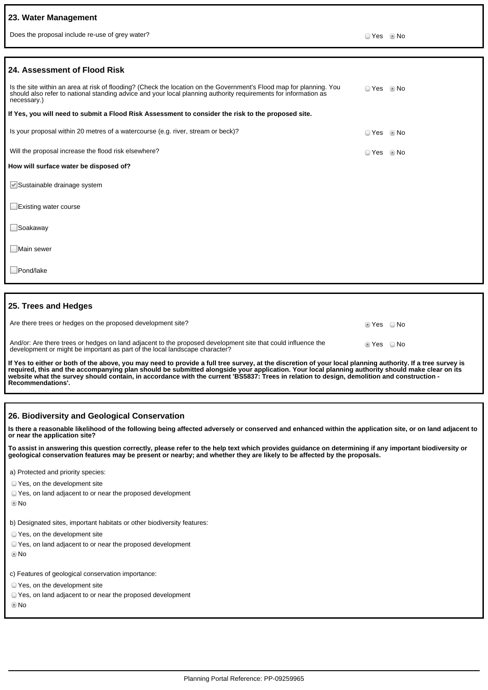### **23. Water Management**

Does the proposal include re-use of grey water? No water and the state of grey water?

| 24. Assessment of Flood Risk                                                                                                                                                                                                                          |            |      |
|-------------------------------------------------------------------------------------------------------------------------------------------------------------------------------------------------------------------------------------------------------|------------|------|
| Is the site within an area at risk of flooding? (Check the location on the Government's Flood map for planning. You<br>should also refer to national standing advice and your local planning authority requirements for information as<br>necessary.) | ○ Yes ◎ No |      |
| If Yes, you will need to submit a Flood Risk Assessment to consider the risk to the proposed site.                                                                                                                                                    |            |      |
| Is your proposal within 20 metres of a watercourse (e.g. river, stream or beck)?                                                                                                                                                                      | ○ Yes ◎ No |      |
| Will the proposal increase the flood risk elsewhere?                                                                                                                                                                                                  | ○ Yes      | © No |
| How will surface water be disposed of?                                                                                                                                                                                                                |            |      |
| Sustainable drainage system                                                                                                                                                                                                                           |            |      |
| $\Box$ Existing water course                                                                                                                                                                                                                          |            |      |
| $\Box$ Soakaway                                                                                                                                                                                                                                       |            |      |
| Main sewer                                                                                                                                                                                                                                            |            |      |
| Pond/lake                                                                                                                                                                                                                                             |            |      |
|                                                                                                                                                                                                                                                       |            |      |
| 25. Trees and Hedges                                                                                                                                                                                                                                  |            |      |

| Are there trees or hedges on the proposed development site?                                                                                                                                 | lier ONo |      |
|---------------------------------------------------------------------------------------------------------------------------------------------------------------------------------------------|----------|------|
| And/or: Are there trees or hedges on land adjacent to the proposed development site that could influence the<br>development or might be important as part of the local landscape character? | l Yes    | ⊙ No |

**If Yes to either or both of the above, you may need to provide a full tree survey, at the discretion of your local planning authority. If a tree survey is required, this and the accompanying plan should be submitted alongside your application. Your local planning authority should make clear on its website what the survey should contain, in accordance with the current 'BS5837: Trees in relation to design, demolition and construction - Recommendations'.**

### **26. Biodiversity and Geological Conservation**

**Is there a reasonable likelihood of the following being affected adversely or conserved and enhanced within the application site, or on land adjacent to or near the application site?**

**To assist in answering this question correctly, please refer to the help text which provides guidance on determining if any important biodiversity or geological conservation features may be present or nearby; and whether they are likely to be affected by the proposals.**

a) Protected and priority species:

- Yes, on the development site
- Yes, on land adjacent to or near the proposed development
- No

b) Designated sites, important habitats or other biodiversity features:

- Yes, on the development site
- Yes, on land adjacent to or near the proposed development
- No

c) Features of geological conservation importance:

Yes, on the development site

Yes, on land adjacent to or near the proposed development

No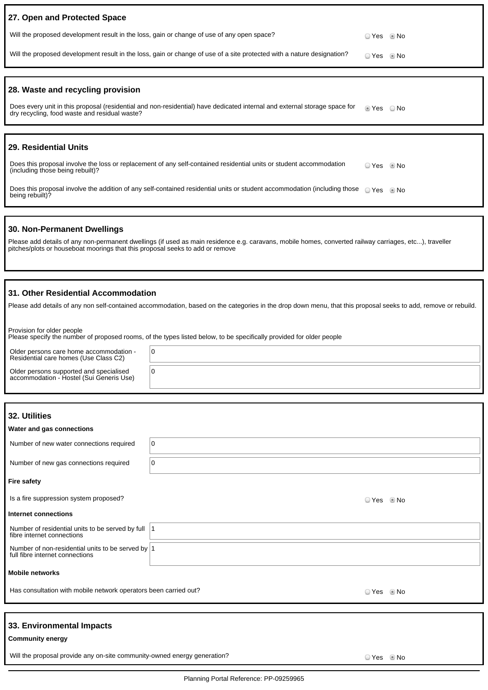| 27. Open and Protected Space                                                                                                                                               |           |      |
|----------------------------------------------------------------------------------------------------------------------------------------------------------------------------|-----------|------|
| Will the proposed development result in the loss, gain or change of use of any open space?                                                                                 | ⊙ Yes     | © No |
| Will the proposed development result in the loss, gain or change of use of a site protected with a nature designation?                                                     | ◯ Yes     | © No |
|                                                                                                                                                                            |           |      |
| 28. Waste and recycling provision                                                                                                                                          |           |      |
| Does every unit in this proposal (residential and non-residential) have dedicated internal and external storage space for<br>dry recycling, food waste and residual waste? | ◉ Yes     | ⊙ No |
|                                                                                                                                                                            |           |      |
| 29. Residential Units                                                                                                                                                      |           |      |
| Does this proposal involve the loss or replacement of any self-contained residential units or student accommodation<br>(including those being rebuilt)?                    | ◯ Yes     | © No |
| Does this proposal involve the addition of any self-contained residential units or student accommodation (including those<br>being rebuilt)?                               | $OYes$ Mo |      |
|                                                                                                                                                                            |           |      |

#### **30. Non-Permanent Dwellings**

Please add details of any non-permanent dwellings (if used as main residence e.g. caravans, mobile homes, converted railway carriages, etc...), traveller pitches/plots or houseboat moorings that this proposal seeks to add or remove

#### **31. Other Residential Accommodation**

Please add details of any non self-contained accommodation, based on the categories in the drop down menu, that this proposal seeks to add, remove or rebuild.

Provision for older people Please specify the number of proposed rooms, of the types listed below, to be specifically provided for older people

| Older persons care home accommodation -<br>Residential care homes (Use Class C2)    | O |
|-------------------------------------------------------------------------------------|---|
| Older persons supported and specialised<br>accommodation - Hostel (Sui Generis Use) |   |

| 32. Utilities<br>Water and gas connections                                              |   |            |      |
|-----------------------------------------------------------------------------------------|---|------------|------|
| Number of new water connections required                                                | 0 |            |      |
| Number of new gas connections required                                                  | 0 |            |      |
| <b>Fire safety</b>                                                                      |   |            |      |
| Is a fire suppression system proposed?                                                  |   | ○ Yes      | © No |
| Internet connections                                                                    |   |            |      |
| Number of residential units to be served by full  1<br>fibre internet connections       |   |            |      |
| Number of non-residential units to be served by $ 1$<br>full fibre internet connections |   |            |      |
| <b>Mobile networks</b>                                                                  |   |            |      |
| Has consultation with mobile network operators been carried out?                        |   | ○ Yes ◎ No |      |
|                                                                                         |   |            |      |
| 33. Environmental Impacts<br><b>Community energy</b>                                    |   |            |      |

Will the proposal provide any on-site community-owned energy generation?<br>
O Yes No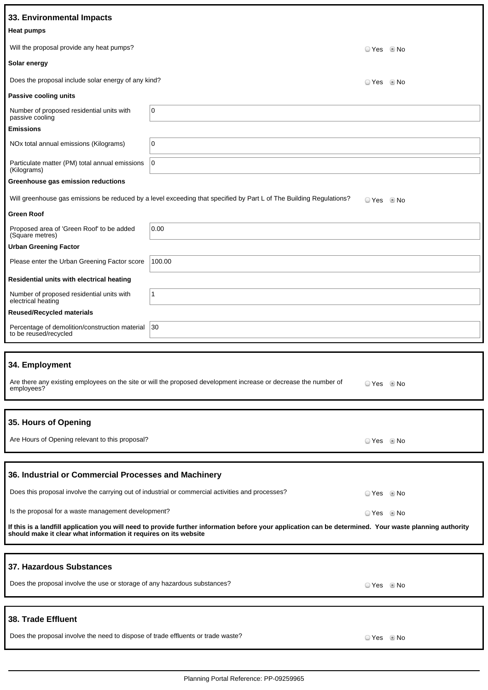| 33. Environmental Impacts                                                        |                                                                                                                                                         |                |  |
|----------------------------------------------------------------------------------|---------------------------------------------------------------------------------------------------------------------------------------------------------|----------------|--|
| <b>Heat pumps</b>                                                                |                                                                                                                                                         |                |  |
| Will the proposal provide any heat pumps?                                        |                                                                                                                                                         | ⊙ Yes © No     |  |
| Solar energy                                                                     |                                                                                                                                                         |                |  |
| Does the proposal include solar energy of any kind?                              |                                                                                                                                                         | ⊙ Yes © No     |  |
| Passive cooling units                                                            |                                                                                                                                                         |                |  |
| Number of proposed residential units with<br>passive cooling                     | 0                                                                                                                                                       |                |  |
| <b>Emissions</b>                                                                 |                                                                                                                                                         |                |  |
| NOx total annual emissions (Kilograms)                                           | 0                                                                                                                                                       |                |  |
| Particulate matter (PM) total annual emissions<br>(Kilograms)                    | $\overline{0}$                                                                                                                                          |                |  |
| Greenhouse gas emission reductions                                               |                                                                                                                                                         |                |  |
|                                                                                  | Will greenhouse gas emissions be reduced by a level exceeding that specified by Part L of The Building Regulations?                                     | ○ Yes ◎ No     |  |
| <b>Green Roof</b>                                                                |                                                                                                                                                         |                |  |
| Proposed area of 'Green Roof' to be added<br>(Square metres)                     | 0.00                                                                                                                                                    |                |  |
| <b>Urban Greening Factor</b>                                                     |                                                                                                                                                         |                |  |
| Please enter the Urban Greening Factor score                                     | 100.00                                                                                                                                                  |                |  |
| Residential units with electrical heating                                        |                                                                                                                                                         |                |  |
| Number of proposed residential units with<br>electrical heating                  | $\mathbf{1}$                                                                                                                                            |                |  |
| <b>Reused/Recycled materials</b>                                                 |                                                                                                                                                         |                |  |
| Percentage of demolition/construction material<br>to be reused/recycled          | 30                                                                                                                                                      |                |  |
|                                                                                  |                                                                                                                                                         |                |  |
| 34. Employment                                                                   |                                                                                                                                                         |                |  |
| employees?                                                                       | Are there any existing employees on the site or will the proposed development increase or decrease the number of                                        | © Yes     ® No |  |
|                                                                                  |                                                                                                                                                         |                |  |
| 35. Hours of Opening                                                             |                                                                                                                                                         |                |  |
| Are Hours of Opening relevant to this proposal?                                  |                                                                                                                                                         | ⊙ Yes © No     |  |
|                                                                                  |                                                                                                                                                         |                |  |
| 36. Industrial or Commercial Processes and Machinery                             |                                                                                                                                                         |                |  |
|                                                                                  | Does this proposal involve the carrying out of industrial or commercial activities and processes?                                                       | ○ Yes ◎ No     |  |
| Is the proposal for a waste management development?                              |                                                                                                                                                         | ⊙ Yes © No     |  |
| should make it clear what information it requires on its website                 | If this is a landfill application you will need to provide further information before your application can be determined. Your waste planning authority |                |  |
|                                                                                  |                                                                                                                                                         |                |  |
| 37. Hazardous Substances                                                         |                                                                                                                                                         |                |  |
| Does the proposal involve the use or storage of any hazardous substances?        |                                                                                                                                                         | © Yes © No     |  |
|                                                                                  |                                                                                                                                                         |                |  |
| 38. Trade Effluent                                                               |                                                                                                                                                         |                |  |
| Does the proposal involve the need to dispose of trade effluents or trade waste? |                                                                                                                                                         | ⊙ Yes © No     |  |
|                                                                                  |                                                                                                                                                         |                |  |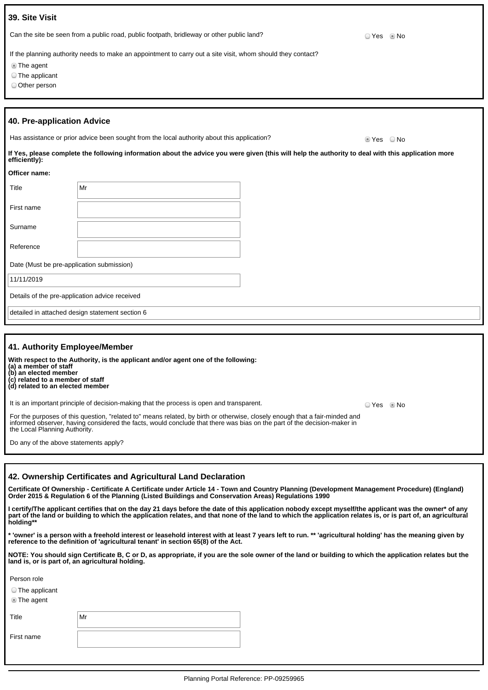| 39. Site Visit                                    |                                                                                                                                                    |               |
|---------------------------------------------------|----------------------------------------------------------------------------------------------------------------------------------------------------|---------------|
|                                                   | Can the site be seen from a public road, public footpath, bridleway or other public land?                                                          | l No<br>◯ Yes |
| <b>The agent</b><br>The applicant<br>Other person | If the planning authority needs to make an appointment to carry out a site visit, whom should they contact?                                        |               |
| 40. Pre-application Advice                        |                                                                                                                                                    |               |
|                                                   | Has assistance or prior advice been sought from the local authority about this application?                                                        | ■ Yes ■ No    |
| efficiently):                                     | If Yes, please complete the following information about the advice you were given (this will help the authority to deal with this application more |               |
| Officer name:                                     |                                                                                                                                                    |               |
| Title                                             | Mr                                                                                                                                                 |               |
| First name                                        |                                                                                                                                                    |               |
| Surname                                           |                                                                                                                                                    |               |
| Reference                                         |                                                                                                                                                    |               |
| Date (Must be pre-application submission)         |                                                                                                                                                    |               |

11/11/2019

Details of the pre-application advice received

detailed in attached design statement section 6

| 41. Authority Employee/Member                                                                                                                                                                                                                                                           |       |       |
|-----------------------------------------------------------------------------------------------------------------------------------------------------------------------------------------------------------------------------------------------------------------------------------------|-------|-------|
| With respect to the Authority, is the applicant and/or agent one of the following:<br>(a) a member of staff<br>(b) an elected member<br>(c) related to a member of staff<br>(d) related to an elected member                                                                            |       |       |
| It is an important principle of decision-making that the process is open and transparent.                                                                                                                                                                                               | ⊇ Yes | l® No |
| For the purposes of this question, "related to" means related, by birth or otherwise, closely enough that a fair-minded and<br>informed observer, having considered the facts, would conclude that there was bias on the part of the decision-maker in<br>the Local Planning Authority. |       |       |
| Do any of the above statements apply?                                                                                                                                                                                                                                                   |       |       |

#### **42. Ownership Certificates and Agricultural Land Declaration**

**Certificate Of Ownership - Certificate A Certificate under Article 14 - Town and Country Planning (Development Management Procedure) (England) Order 2015 & Regulation 6 of the Planning (Listed Buildings and Conservation Areas) Regulations 1990**

**I certify/The applicant certifies that on the day 21 days before the date of this application nobody except myself/the applicant was the owner\* of any part of the land or building to which the application relates, and that none of the land to which the application relates is, or is part of, an agricultural holding\*\***

**\* 'owner' is a person with a freehold interest or leasehold interest with at least 7 years left to run. \*\* 'agricultural holding' has the meaning given by reference to the definition of 'agricultural tenant' in section 65(8) of the Act.**

**NOTE: You should sign Certificate B, C or D, as appropriate, if you are the sole owner of the land or building to which the application relates but the land is, or is part of, an agricultural holding.**

Person role

The applicant

The agent

Title

First name

| $\vert$ Mr |  |  |  |
|------------|--|--|--|
|            |  |  |  |
|            |  |  |  |